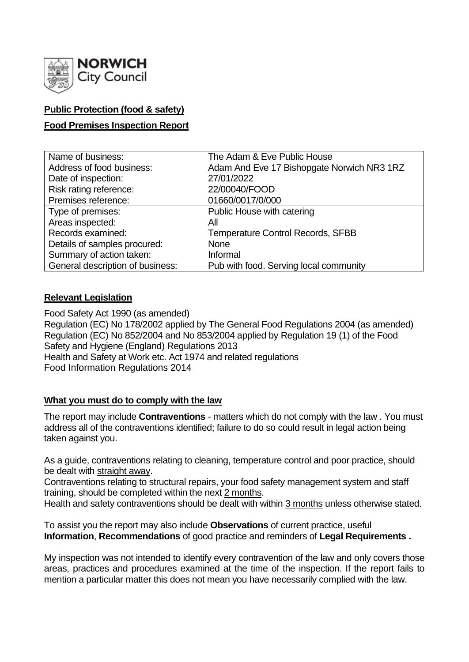

# **Public Protection (food & safety)**

# **Food Premises Inspection Report**

| Name of business:                | The Adam & Eve Public House                |
|----------------------------------|--------------------------------------------|
| Address of food business:        | Adam And Eve 17 Bishopgate Norwich NR3 1RZ |
| Date of inspection:              | 27/01/2022                                 |
| Risk rating reference:           | 22/00040/FOOD                              |
| Premises reference:              | 01660/0017/0/000                           |
| Type of premises:                | Public House with catering                 |
| Areas inspected:                 | All                                        |
| Records examined:                | <b>Temperature Control Records, SFBB</b>   |
| Details of samples procured:     | <b>None</b>                                |
| Summary of action taken:         | Informal                                   |
| General description of business: | Pub with food. Serving local community     |

### **Relevant Legislation**

Food Safety Act 1990 (as amended) Regulation (EC) No 178/2002 applied by The General Food Regulations 2004 (as amended) Regulation (EC) No 852/2004 and No 853/2004 applied by Regulation 19 (1) of the Food Safety and Hygiene (England) Regulations 2013 Health and Safety at Work etc. Act 1974 and related regulations Food Information Regulations 2014

### **What you must do to comply with the law**

The report may include **Contraventions** - matters which do not comply with the law . You must address all of the contraventions identified; failure to do so could result in legal action being taken against you.

As a guide, contraventions relating to cleaning, temperature control and poor practice, should be dealt with straight away.

Contraventions relating to structural repairs, your food safety management system and staff training, should be completed within the next 2 months.

Health and safety contraventions should be dealt with within 3 months unless otherwise stated.

To assist you the report may also include **Observations** of current practice, useful **Information**, **Recommendations** of good practice and reminders of **Legal Requirements .**

My inspection was not intended to identify every contravention of the law and only covers those areas, practices and procedures examined at the time of the inspection. If the report fails to mention a particular matter this does not mean you have necessarily complied with the law.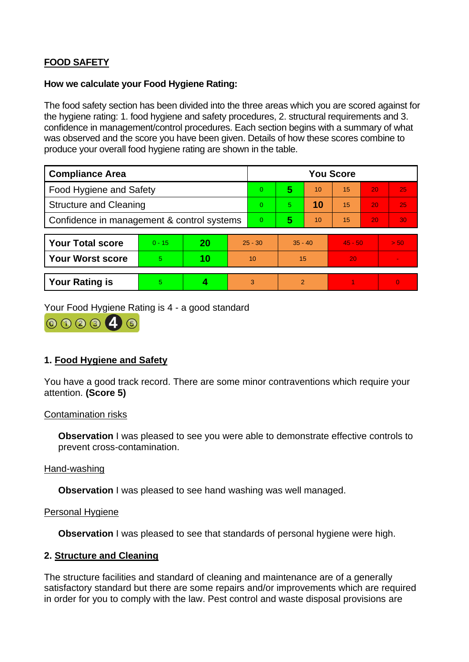# **FOOD SAFETY**

### **How we calculate your Food Hygiene Rating:**

The food safety section has been divided into the three areas which you are scored against for the hygiene rating: 1. food hygiene and safety procedures, 2. structural requirements and 3. confidence in management/control procedures. Each section begins with a summary of what was observed and the score you have been given. Details of how these scores combine to produce your overall food hygiene rating are shown in the table.

| <b>Compliance Area</b>                     |          |    |                | <b>You Score</b> |               |    |           |    |          |  |
|--------------------------------------------|----------|----|----------------|------------------|---------------|----|-----------|----|----------|--|
| Food Hygiene and Safety                    |          |    |                | 0                | 5             | 10 | 15        | 20 | 25       |  |
| <b>Structure and Cleaning</b>              |          |    | 0              | 5                | 10            | 15 | 20        | 25 |          |  |
| Confidence in management & control systems |          |    | $\overline{0}$ | 5                | 10            | 15 | 20        | 30 |          |  |
|                                            |          |    |                |                  |               |    |           |    |          |  |
| <b>Your Total score</b>                    | $0 - 15$ | 20 | $25 - 30$      |                  | $35 - 40$     |    | $45 - 50$ |    | > 50     |  |
| <b>Your Worst score</b>                    | 5        | 10 | 10             |                  | 15            |    | 20        |    |          |  |
|                                            |          |    |                |                  |               |    |           |    |          |  |
| <b>Your Rating is</b>                      | 5        |    |                | 3                | $\mathcal{P}$ |    |           |    | $\Omega$ |  |

Your Food Hygiene Rating is 4 - a good standard



### **1. Food Hygiene and Safety**

You have a good track record. There are some minor contraventions which require your attention. **(Score 5)**

#### Contamination risks

**Observation** I was pleased to see you were able to demonstrate effective controls to prevent cross-contamination.

#### Hand-washing

**Observation** I was pleased to see hand washing was well managed.

#### Personal Hygiene

**Observation** I was pleased to see that standards of personal hygiene were high.

### **2. Structure and Cleaning**

The structure facilities and standard of cleaning and maintenance are of a generally satisfactory standard but there are some repairs and/or improvements which are required in order for you to comply with the law. Pest control and waste disposal provisions are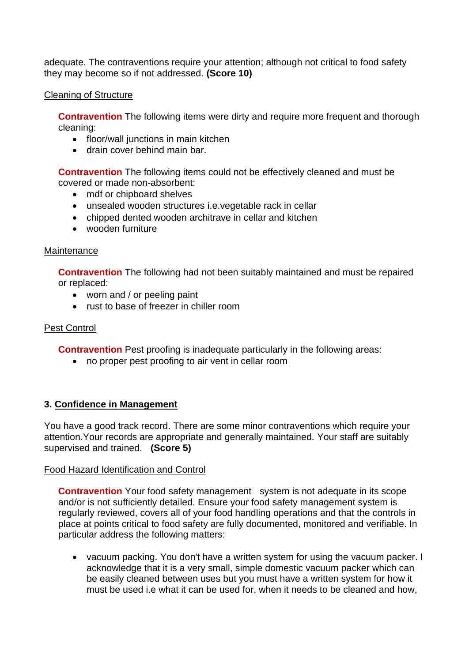adequate. The contraventions require your attention; although not critical to food safety they may become so if not addressed. **(Score 10)**

### Cleaning of Structure

**Contravention** The following items were dirty and require more frequent and thorough cleaning:

- floor/wall junctions in main kitchen
- drain cover behind main bar.

**Contravention** The following items could not be effectively cleaned and must be covered or made non-absorbent:

- mdf or chipboard shelves
- unsealed wooden structures i.e.vegetable rack in cellar
- chipped dented wooden architrave in cellar and kitchen
- wooden furniture

#### Maintenance

**Contravention** The following had not been suitably maintained and must be repaired or replaced:

- worn and / or peeling paint
- rust to base of freezer in chiller room

### Pest Control

**Contravention** Pest proofing is inadequate particularly in the following areas:

• no proper pest proofing to air vent in cellar room

### **3. Confidence in Management**

You have a good track record. There are some minor contraventions which require your attention.Your records are appropriate and generally maintained. Your staff are suitably supervised and trained. **(Score 5)**

### Food Hazard Identification and Control

**Contravention** Your food safety management system is not adequate in its scope and/or is not sufficiently detailed. Ensure your food safety management system is regularly reviewed, covers all of your food handling operations and that the controls in place at points critical to food safety are fully documented, monitored and verifiable. In particular address the following matters:

• vacuum packing. You don't have a written system for using the vacuum packer. I acknowledge that it is a very small, simple domestic vacuum packer which can be easily cleaned between uses but you must have a written system for how it must be used i.e what it can be used for, when it needs to be cleaned and how,